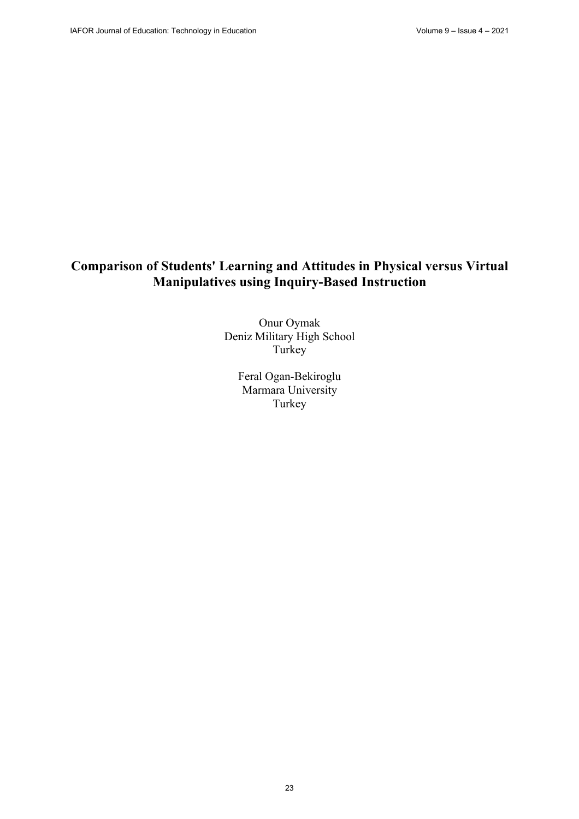# **Comparison of Students' Learning and Attitudes in Physical versus Virtual Manipulatives using Inquiry-Based Instruction**

Onur Oymak Deniz Military High School Turkey<sup>®</sup>

> Feral Ogan-Bekiroglu Marmara University Turkey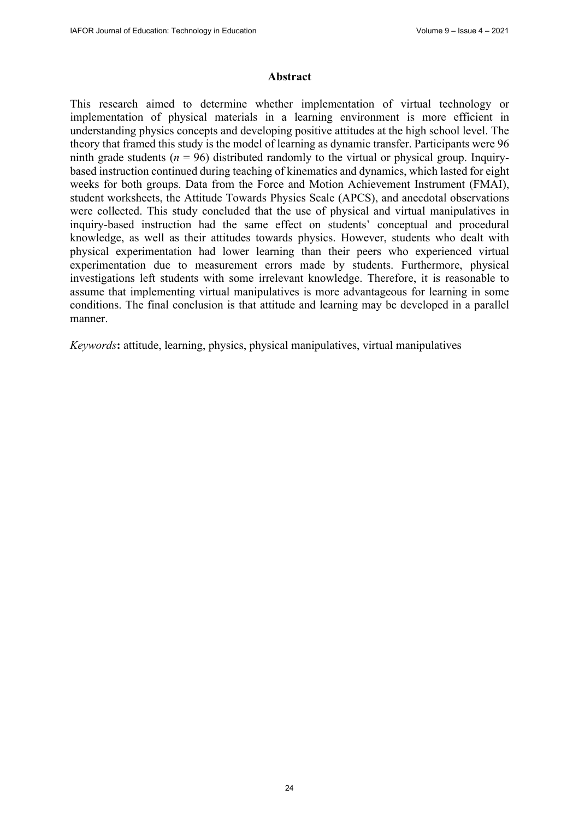#### **Abstract**

This research aimed to determine whether implementation of virtual technology or implementation of physical materials in a learning environment is more efficient in understanding physics concepts and developing positive attitudes at the high school level. The theory that framed this study is the model of learning as dynamic transfer. Participants were 96 ninth grade students ( $n = 96$ ) distributed randomly to the virtual or physical group. Inquirybased instruction continued during teaching of kinematics and dynamics, which lasted for eight weeks for both groups. Data from the Force and Motion Achievement Instrument (FMAI), student worksheets, the Attitude Towards Physics Scale (APCS), and anecdotal observations were collected. This study concluded that the use of physical and virtual manipulatives in inquiry-based instruction had the same effect on students' conceptual and procedural knowledge, as well as their attitudes towards physics. However, students who dealt with physical experimentation had lower learning than their peers who experienced virtual experimentation due to measurement errors made by students. Furthermore, physical investigations left students with some irrelevant knowledge. Therefore, it is reasonable to assume that implementing virtual manipulatives is more advantageous for learning in some conditions. The final conclusion is that attitude and learning may be developed in a parallel manner.

*Keywords***:** attitude, learning, physics, physical manipulatives, virtual manipulatives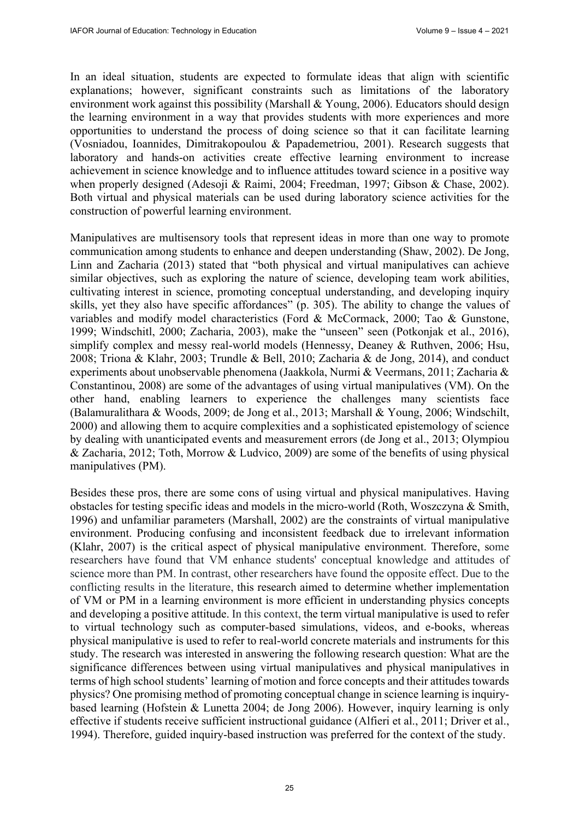In an ideal situation, students are expected to formulate ideas that align with scientific explanations; however, significant constraints such as limitations of the laboratory environment work against this possibility (Marshall & Young, 2006). Educators should design the learning environment in a way that provides students with more experiences and more opportunities to understand the process of doing science so that it can facilitate learning (Vosniadou, Ioannides, Dimitrakopoulou & Papademetriou, 2001). Research suggests that laboratory and hands-on activities create effective learning environment to increase achievement in science knowledge and to influence attitudes toward science in a positive way when properly designed (Adesoji & Raimi, 2004; Freedman, 1997; Gibson & Chase, 2002). Both virtual and physical materials can be used during laboratory science activities for the construction of powerful learning environment.

Manipulatives are multisensory tools that represent ideas in more than one way to promote communication among students to enhance and deepen understanding (Shaw, 2002). De Jong, Linn and Zacharia (2013) stated that "both physical and virtual manipulatives can achieve similar objectives, such as exploring the nature of science, developing team work abilities, cultivating interest in science, promoting conceptual understanding, and developing inquiry skills, yet they also have specific affordances" (p. 305). The ability to change the values of variables and modify model characteristics (Ford & McCormack, 2000; Tao & Gunstone, 1999; Windschitl, 2000; Zacharia, 2003), make the "unseen" seen (Potkonjak et al., 2016), simplify complex and messy real-world models (Hennessy, Deaney & Ruthven, 2006; Hsu, 2008; Triona & Klahr, 2003; Trundle & Bell, 2010; Zacharia & de Jong, 2014), and conduct experiments about unobservable phenomena (Jaakkola, Nurmi & Veermans, 2011; Zacharia & Constantinou, 2008) are some of the advantages of using virtual manipulatives (VM). On the other hand, enabling learners to experience the challenges many scientists face (Balamuralithara & Woods, 2009; de Jong et al., 2013; Marshall & Young, 2006; Windschilt, 2000) and allowing them to acquire complexities and a sophisticated epistemology of science by dealing with unanticipated events and measurement errors (de Jong et al., 2013; Olympiou & Zacharia, 2012; Toth, Morrow & Ludvico, 2009) are some of the benefits of using physical manipulatives (PM).

Besides these pros, there are some cons of using virtual and physical manipulatives. Having obstacles for testing specific ideas and models in the micro-world (Roth, Woszczyna & Smith, 1996) and unfamiliar parameters (Marshall, 2002) are the constraints of virtual manipulative environment. Producing confusing and inconsistent feedback due to irrelevant information (Klahr, 2007) is the critical aspect of physical manipulative environment. Therefore, some researchers have found that VM enhance students' conceptual knowledge and attitudes of science more than PM. In contrast, other researchers have found the opposite effect. Due to the conflicting results in the literature, this research aimed to determine whether implementation of VM or PM in a learning environment is more efficient in understanding physics concepts and developing a positive attitude. In this context, the term virtual manipulative is used to refer to virtual technology such as computer-based simulations, videos, and e-books, whereas physical manipulative is used to refer to real-world concrete materials and instruments for this study. The research was interested in answering the following research question: What are the significance differences between using virtual manipulatives and physical manipulatives in terms of high school students' learning of motion and force concepts and their attitudes towards physics? One promising method of promoting conceptual change in science learning is inquirybased learning (Hofstein & Lunetta 2004; de Jong 2006). However, inquiry learning is only effective if students receive sufficient instructional guidance (Alfieri et al., 2011; Driver et al., 1994). Therefore, guided inquiry-based instruction was preferred for the context of the study.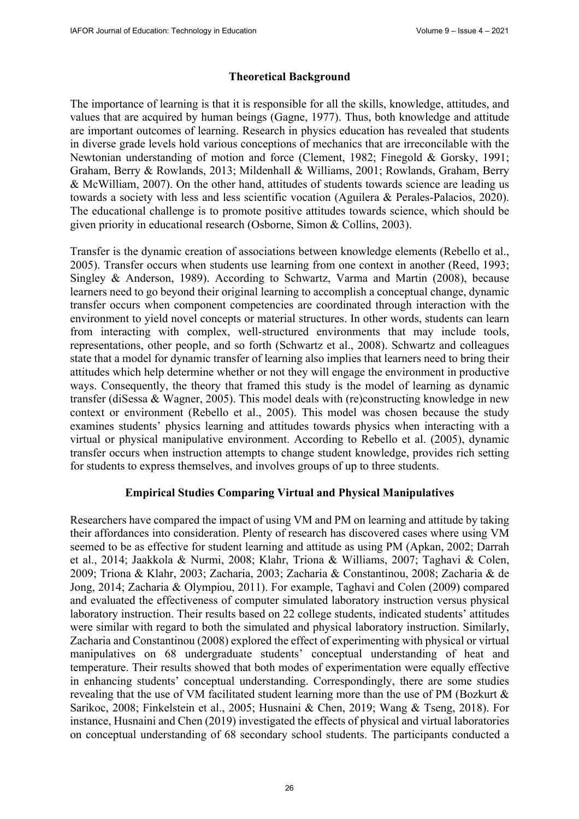# **Theoretical Background**

The importance of learning is that it is responsible for all the skills, knowledge, attitudes, and values that are acquired by human beings (Gagne, 1977). Thus, both knowledge and attitude are important outcomes of learning. Research in physics education has revealed that students in diverse grade levels hold various conceptions of mechanics that are irreconcilable with the Newtonian understanding of motion and force (Clement, 1982; Finegold & Gorsky, 1991; Graham, Berry & Rowlands, 2013; Mildenhall & Williams, 2001; Rowlands, Graham, Berry & McWilliam, 2007). On the other hand, attitudes of students towards science are leading us towards a society with less and less scientific vocation (Aguilera & Perales-Palacios, 2020). The educational challenge is to promote positive attitudes towards science, which should be given priority in educational research (Osborne, Simon & Collins, 2003).

Transfer is the dynamic creation of associations between knowledge elements (Rebello et al., 2005). Transfer occurs when students use learning from one context in another (Reed, 1993; Singley & Anderson, 1989). According to Schwartz, Varma and Martin (2008), because learners need to go beyond their original learning to accomplish a conceptual change, dynamic transfer occurs when component competencies are coordinated through interaction with the environment to yield novel concepts or material structures. In other words, students can learn from interacting with complex, well-structured environments that may include tools, representations, other people, and so forth (Schwartz et al., 2008). Schwartz and colleagues state that a model for dynamic transfer of learning also implies that learners need to bring their attitudes which help determine whether or not they will engage the environment in productive ways. Consequently, the theory that framed this study is the model of learning as dynamic transfer (diSessa & Wagner, 2005). This model deals with (re)constructing knowledge in new context or environment (Rebello et al., 2005). This model was chosen because the study examines students' physics learning and attitudes towards physics when interacting with a virtual or physical manipulative environment. According to Rebello et al. (2005), dynamic transfer occurs when instruction attempts to change student knowledge, provides rich setting for students to express themselves, and involves groups of up to three students.

# **Empirical Studies Comparing Virtual and Physical Manipulatives**

Researchers have compared the impact of using VM and PM on learning and attitude by taking their affordances into consideration. Plenty of research has discovered cases where using VM seemed to be as effective for student learning and attitude as using PM (Apkan, 2002; Darrah et al., 2014; Jaakkola & Nurmi, 2008; Klahr, Triona & Williams, 2007; Taghavi & Colen, 2009; Triona & Klahr, 2003; Zacharia, 2003; Zacharia & Constantinou, 2008; Zacharia & de Jong, 2014; Zacharia & Olympiou, 2011). For example, Taghavi and Colen (2009) compared and evaluated the effectiveness of computer simulated laboratory instruction versus physical laboratory instruction. Their results based on 22 college students, indicated students' attitudes were similar with regard to both the simulated and physical laboratory instruction. Similarly, Zacharia and Constantinou (2008) explored the effect of experimenting with physical or virtual manipulatives on 68 undergraduate students' conceptual understanding of heat and temperature. Their results showed that both modes of experimentation were equally effective in enhancing students' conceptual understanding. Correspondingly, there are some studies revealing that the use of VM facilitated student learning more than the use of PM (Bozkurt & Sarikoc, 2008; Finkelstein et al., 2005; Husnaini & Chen, 2019; Wang & Tseng, 2018). For instance, Husnaini and Chen (2019) investigated the effects of physical and virtual laboratories on conceptual understanding of 68 secondary school students. The participants conducted a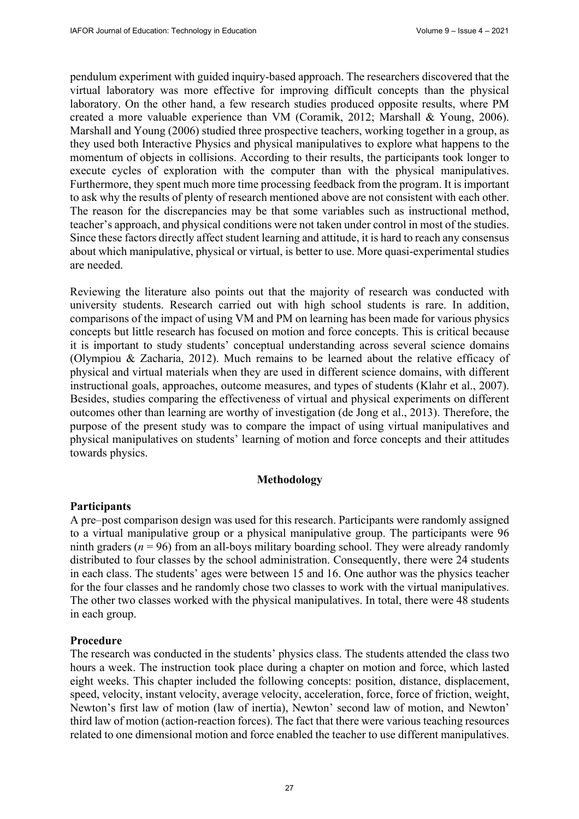pendulum experiment with guided inquiry-based approach. The researchers discovered that the virtual laboratory was more effective for improving difficult concepts than the physical laboratory. On the other hand, a few research studies produced opposite results, where PM created a more valuable experience than VM (Coramik, 2012; Marshall & Young, 2006). Marshall and Young (2006) studied three prospective teachers, working together in a group, as they used both Interactive Physics and physical manipulatives to explore what happens to the momentum of objects in collisions. According to their results, the participants took longer to execute cycles of exploration with the computer than with the physical manipulatives. Furthermore, they spent much more time processing feedback from the program. It is important to ask why the results of plenty of research mentioned above are not consistent with each other. The reason for the discrepancies may be that some variables such as instructional method, teacher's approach, and physical conditions were not taken under control in most of the studies. Since these factors directly affect student learning and attitude, it is hard to reach any consensus about which manipulative, physical or virtual, is better to use. More quasi-experimental studies are needed.

Reviewing the literature also points out that the majority of research was conducted with university students. Research carried out with high school students is rare. In addition, comparisons of the impact of using VM and PM on learning has been made for various physics concepts but little research has focused on motion and force concepts. This is critical because it is important to study students' conceptual understanding across several science domains (Olympiou & Zacharia, 2012). Much remains to be learned about the relative efficacy of physical and virtual materials when they are used in different science domains, with different instructional goals, approaches, outcome measures, and types of students (Klahr et al., 2007). Besides, studies comparing the effectiveness of virtual and physical experiments on different outcomes other than learning are worthy of investigation (de Jong et al., 2013). Therefore, the purpose of the present study was to compare the impact of using virtual manipulatives and physical manipulatives on students' learning of motion and force concepts and their attitudes towards physics.

#### **Methodology**

# **Participants**

A pre–post comparison design was used for this research. Participants were randomly assigned to a virtual manipulative group or a physical manipulative group. The participants were 96 ninth graders ( $n = 96$ ) from an all-boys military boarding school. They were already randomly distributed to four classes by the school administration. Consequently, there were 24 students in each class. The students' ages were between 15 and 16. One author was the physics teacher for the four classes and he randomly chose two classes to work with the virtual manipulatives. The other two classes worked with the physical manipulatives. In total, there were 48 students in each group.

#### **Procedure**

The research was conducted in the students' physics class. The students attended the class two hours a week. The instruction took place during a chapter on motion and force, which lasted eight weeks. This chapter included the following concepts: position, distance, displacement, speed, velocity, instant velocity, average velocity, acceleration, force, force of friction, weight, Newton's first law of motion (law of inertia), Newton' second law of motion, and Newton' third law of motion (action-reaction forces). The fact that there were various teaching resources related to one dimensional motion and force enabled the teacher to use different manipulatives.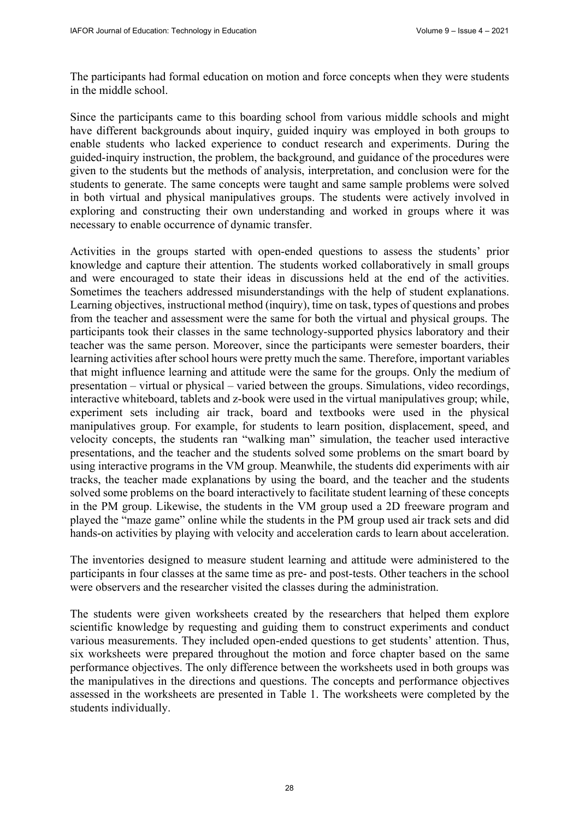The participants had formal education on motion and force concepts when they were students in the middle school.

Since the participants came to this boarding school from various middle schools and might have different backgrounds about inquiry, guided inquiry was employed in both groups to enable students who lacked experience to conduct research and experiments. During the guided-inquiry instruction, the problem, the background, and guidance of the procedures were given to the students but the methods of analysis, interpretation, and conclusion were for the students to generate. The same concepts were taught and same sample problems were solved in both virtual and physical manipulatives groups. The students were actively involved in exploring and constructing their own understanding and worked in groups where it was necessary to enable occurrence of dynamic transfer.

Activities in the groups started with open-ended questions to assess the students' prior knowledge and capture their attention. The students worked collaboratively in small groups and were encouraged to state their ideas in discussions held at the end of the activities. Sometimes the teachers addressed misunderstandings with the help of student explanations. Learning objectives, instructional method (inquiry), time on task, types of questions and probes from the teacher and assessment were the same for both the virtual and physical groups. The participants took their classes in the same technology-supported physics laboratory and their teacher was the same person. Moreover, since the participants were semester boarders, their learning activities after school hours were pretty much the same. Therefore, important variables that might influence learning and attitude were the same for the groups. Only the medium of presentation – virtual or physical – varied between the groups. Simulations, video recordings, interactive whiteboard, tablets and z-book were used in the virtual manipulatives group; while, experiment sets including air track, board and textbooks were used in the physical manipulatives group. For example, for students to learn position, displacement, speed, and velocity concepts, the students ran "walking man" simulation, the teacher used interactive presentations, and the teacher and the students solved some problems on the smart board by using interactive programs in the VM group. Meanwhile, the students did experiments with air tracks, the teacher made explanations by using the board, and the teacher and the students solved some problems on the board interactively to facilitate student learning of these concepts in the PM group. Likewise, the students in the VM group used a 2D freeware program and played the "maze game" online while the students in the PM group used air track sets and did hands-on activities by playing with velocity and acceleration cards to learn about acceleration.

The inventories designed to measure student learning and attitude were administered to the participants in four classes at the same time as pre- and post-tests. Other teachers in the school were observers and the researcher visited the classes during the administration.

The students were given worksheets created by the researchers that helped them explore scientific knowledge by requesting and guiding them to construct experiments and conduct various measurements. They included open-ended questions to get students' attention. Thus, six worksheets were prepared throughout the motion and force chapter based on the same performance objectives. The only difference between the worksheets used in both groups was the manipulatives in the directions and questions. The concepts and performance objectives assessed in the worksheets are presented in Table 1. The worksheets were completed by the students individually.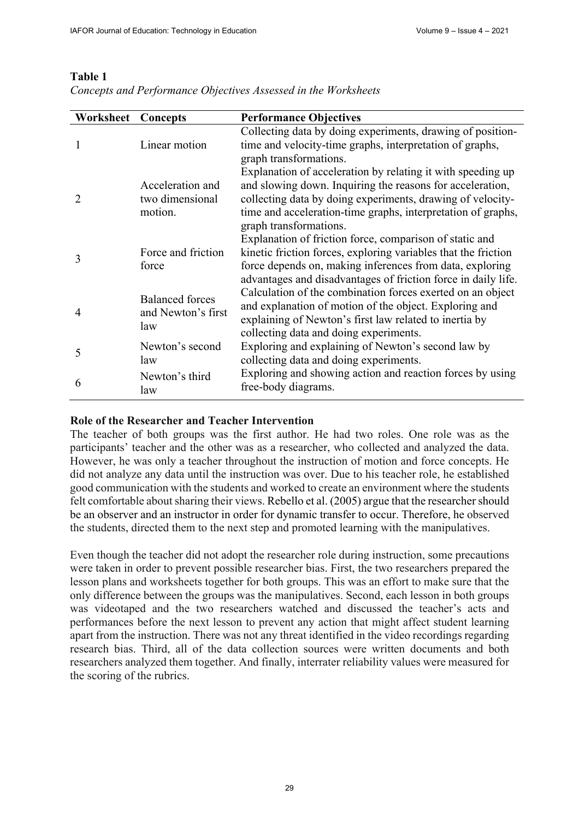# **Table 1**

| <b>Worksheet Concepts</b> |                                                     | <b>Performance Objectives</b>                                                                                                                                                                                                                                                    |
|---------------------------|-----------------------------------------------------|----------------------------------------------------------------------------------------------------------------------------------------------------------------------------------------------------------------------------------------------------------------------------------|
|                           | Linear motion                                       | Collecting data by doing experiments, drawing of position-<br>time and velocity-time graphs, interpretation of graphs,<br>graph transformations.                                                                                                                                 |
|                           | Acceleration and<br>two dimensional<br>motion.      | Explanation of acceleration by relating it with speeding up<br>and slowing down. Inquiring the reasons for acceleration,<br>collecting data by doing experiments, drawing of velocity-<br>time and acceleration-time graphs, interpretation of graphs,<br>graph transformations. |
| 3                         | Force and friction<br>force                         | Explanation of friction force, comparison of static and<br>kinetic friction forces, exploring variables that the friction<br>force depends on, making inferences from data, exploring<br>advantages and disadvantages of friction force in daily life.                           |
| $\overline{4}$            | <b>Balanced</b> forces<br>and Newton's first<br>law | Calculation of the combination forces exerted on an object<br>and explanation of motion of the object. Exploring and<br>explaining of Newton's first law related to inertia by<br>collecting data and doing experiments.                                                         |
| 5                         | Newton's second<br>law                              | Exploring and explaining of Newton's second law by<br>collecting data and doing experiments.                                                                                                                                                                                     |
| 6                         | Newton's third<br>law                               | Exploring and showing action and reaction forces by using<br>free-body diagrams.                                                                                                                                                                                                 |

*Concepts and Performance Objectives Assessed in the Worksheets* 

# **Role of the Researcher and Teacher Intervention**

The teacher of both groups was the first author. He had two roles. One role was as the participants' teacher and the other was as a researcher, who collected and analyzed the data. However, he was only a teacher throughout the instruction of motion and force concepts. He did not analyze any data until the instruction was over. Due to his teacher role, he established good communication with the students and worked to create an environment where the students felt comfortable about sharing their views. Rebello et al. (2005) argue that the researcher should be an observer and an instructor in order for dynamic transfer to occur. Therefore, he observed the students, directed them to the next step and promoted learning with the manipulatives.

Even though the teacher did not adopt the researcher role during instruction, some precautions were taken in order to prevent possible researcher bias. First, the two researchers prepared the lesson plans and worksheets together for both groups. This was an effort to make sure that the only difference between the groups was the manipulatives. Second, each lesson in both groups was videotaped and the two researchers watched and discussed the teacher's acts and performances before the next lesson to prevent any action that might affect student learning apart from the instruction. There was not any threat identified in the video recordings regarding research bias. Third, all of the data collection sources were written documents and both researchers analyzed them together. And finally, interrater reliability values were measured for the scoring of the rubrics.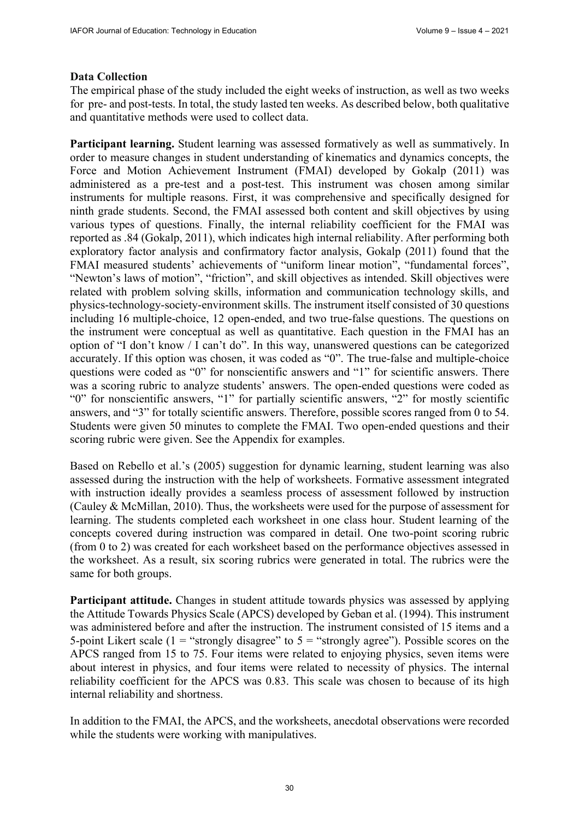# **Data Collection**

The empirical phase of the study included the eight weeks of instruction, as well as two weeks for pre- and post-tests. In total, the study lasted ten weeks. As described below, both qualitative and quantitative methods were used to collect data.

**Participant learning.** Student learning was assessed formatively as well as summatively. In order to measure changes in student understanding of kinematics and dynamics concepts, the Force and Motion Achievement Instrument (FMAI) developed by Gokalp (2011) was administered as a pre-test and a post-test. This instrument was chosen among similar instruments for multiple reasons. First, it was comprehensive and specifically designed for ninth grade students. Second, the FMAI assessed both content and skill objectives by using various types of questions. Finally, the internal reliability coefficient for the FMAI was reported as .84 (Gokalp, 2011), which indicates high internal reliability. After performing both exploratory factor analysis and confirmatory factor analysis, Gokalp (2011) found that the FMAI measured students' achievements of "uniform linear motion", "fundamental forces", "Newton's laws of motion", "friction", and skill objectives as intended. Skill objectives were related with problem solving skills, information and communication technology skills, and physics-technology-society-environment skills. The instrument itself consisted of 30 questions including 16 multiple-choice, 12 open-ended, and two true-false questions. The questions on the instrument were conceptual as well as quantitative. Each question in the FMAI has an option of "I don't know / I can't do". In this way, unanswered questions can be categorized accurately. If this option was chosen, it was coded as "0". The true-false and multiple-choice questions were coded as "0" for nonscientific answers and "1" for scientific answers. There was a scoring rubric to analyze students' answers. The open-ended questions were coded as "0" for nonscientific answers, "1" for partially scientific answers, "2" for mostly scientific answers, and "3" for totally scientific answers. Therefore, possible scores ranged from 0 to 54. Students were given 50 minutes to complete the FMAI. Two open-ended questions and their scoring rubric were given. See the Appendix for examples.

Based on Rebello et al.'s (2005) suggestion for dynamic learning, student learning was also assessed during the instruction with the help of worksheets. Formative assessment integrated with instruction ideally provides a seamless process of assessment followed by instruction (Cauley & McMillan, 2010). Thus, the worksheets were used for the purpose of assessment for learning. The students completed each worksheet in one class hour. Student learning of the concepts covered during instruction was compared in detail. One two-point scoring rubric (from 0 to 2) was created for each worksheet based on the performance objectives assessed in the worksheet. As a result, six scoring rubrics were generated in total. The rubrics were the same for both groups.

Participant attitude. Changes in student attitude towards physics was assessed by applying the Attitude Towards Physics Scale (APCS) developed by Geban et al. (1994). This instrument was administered before and after the instruction. The instrument consisted of 15 items and a 5-point Likert scale (1 = "strongly disagree" to  $5$  = "strongly agree"). Possible scores on the APCS ranged from 15 to 75. Four items were related to enjoying physics, seven items were about interest in physics, and four items were related to necessity of physics. The internal reliability coefficient for the APCS was 0.83. This scale was chosen to because of its high internal reliability and shortness.

In addition to the FMAI, the APCS, and the worksheets, anecdotal observations were recorded while the students were working with manipulatives.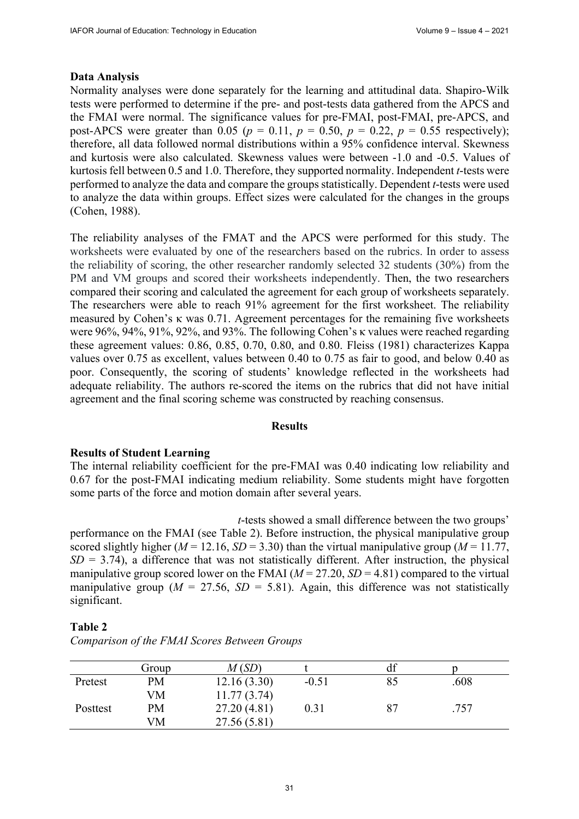#### **Data Analysis**

Normality analyses were done separately for the learning and attitudinal data. Shapiro-Wilk tests were performed to determine if the pre- and post-tests data gathered from the APCS and the FMAI were normal. The significance values for pre-FMAI, post-FMAI, pre-APCS, and post-APCS were greater than 0.05 ( $p = 0.11$ ,  $p = 0.50$ ,  $p = 0.22$ ,  $p = 0.55$  respectively); therefore, all data followed normal distributions within a 95% confidence interval. Skewness and kurtosis were also calculated. Skewness values were between -1.0 and -0.5. Values of kurtosis fell between 0.5 and 1.0. Therefore, they supported normality. Independent *t*-tests were performed to analyze the data and compare the groups statistically. Dependent *t*-tests were used to analyze the data within groups. Effect sizes were calculated for the changes in the groups (Cohen, 1988).

The reliability analyses of the FMAT and the APCS were performed for this study. The worksheets were evaluated by one of the researchers based on the rubrics. In order to assess the reliability of scoring, the other researcher randomly selected 32 students (30%) from the PM and VM groups and scored their worksheets independently. Then, the two researchers compared their scoring and calculated the agreement for each group of worksheets separately. The researchers were able to reach 91% agreement for the first worksheet. The reliability measured by Cohen's  $\kappa$  was 0.71. Agreement percentages for the remaining five worksheets were 96%, 94%, 91%, 92%, and 93%. The following Cohen's κ values were reached regarding these agreement values: 0.86, 0.85, 0.70, 0.80, and 0.80. Fleiss (1981) characterizes Kappa values over 0.75 as excellent, values between 0.40 to 0.75 as fair to good, and below 0.40 as poor. Consequently, the scoring of students' knowledge reflected in the worksheets had adequate reliability. The authors re-scored the items on the rubrics that did not have initial agreement and the final scoring scheme was constructed by reaching consensus.

#### **Results**

#### **Results of Student Learning**

The internal reliability coefficient for the pre-FMAI was 0.40 indicating low reliability and 0.67 for the post-FMAI indicating medium reliability. Some students might have forgotten some parts of the force and motion domain after several years.

*t*-tests showed a small difference between the two groups' performance on the FMAI (see Table 2). Before instruction, the physical manipulative group scored slightly higher ( $M = 12.16$ ,  $SD = 3.30$ ) than the virtual manipulative group ( $M = 11.77$ ,  $SD = 3.74$ ), a difference that was not statistically different. After instruction, the physical manipulative group scored lower on the FMAI  $(M = 27.20, SD = 4.81)$  compared to the virtual manipulative group ( $M = 27.56$ ,  $SD = 5.81$ ). Again, this difference was not statistically significant.

#### **Table 2**

|          | Group     | M(SD)        |         |    |      |
|----------|-----------|--------------|---------|----|------|
| Pretest  | <b>PM</b> | 12.16(3.30)  | $-0.51$ |    | .608 |
|          | VM        | 11.77(3.74)  |         |    |      |
| Posttest | <b>PM</b> | 27.20(4.81)  | 0.31    | 87 | .757 |
|          | VM        | 27.56 (5.81) |         |    |      |

*Comparison of the FMAI Scores Between Groups*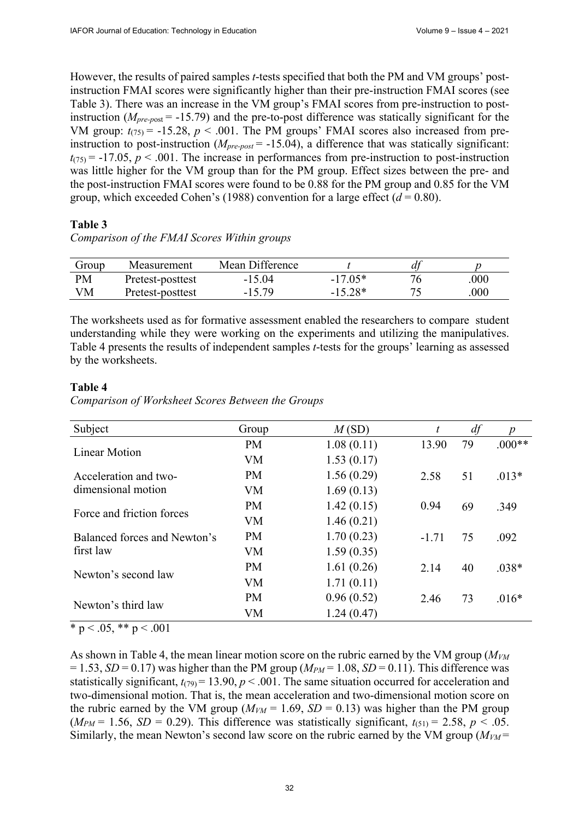However, the results of paired samples *t*-tests specified that both the PM and VM groups' postinstruction FMAI scores were significantly higher than their pre-instruction FMAI scores (see Table 3). There was an increase in the VM group's FMAI scores from pre-instruction to postinstruction (*Mpre-p*ost = -15.79) and the pre-to-post difference was statically significant for the VM group:  $t_{(75)} = -15.28$ ,  $p < .001$ . The PM groups' FMAI scores also increased from preinstruction to post-instruction (*Mpre-post* = -15.04), a difference that was statically significant:  $t_{(75)} = -17.05$ ,  $p < .001$ . The increase in performances from pre-instruction to post-instruction was little higher for the VM group than for the PM group. Effect sizes between the pre- and the post-instruction FMAI scores were found to be 0.88 for the PM group and 0.85 for the VM group, which exceeded Cohen's (1988) convention for a large effect  $(d = 0.80)$ .

# **Table 3**

*Comparison of the FMAI Scores Within groups*

| Group     | Measurement      | Mean Difference |           |      |
|-----------|------------------|-----------------|-----------|------|
| <b>PM</b> | Pretest-posttest | $-15.04$        | $-17.05*$ | .000 |
| VM        | Pretest-posttest | $-15.79$        | $-15.28*$ | 000  |

The worksheets used as for formative assessment enabled the researchers to compare student understanding while they were working on the experiments and utilizing the manipulatives. Table 4 presents the results of independent samples *t*-tests for the groups' learning as assessed by the worksheets.

# **Table 4**

*Comparison of Worksheet Scores Between the Groups*

| Subject                      | Group     | M(SD)      | t       | df | $\boldsymbol{p}$ |
|------------------------------|-----------|------------|---------|----|------------------|
| Linear Motion                | <b>PM</b> | 1.08(0.11) | 13.90   | 79 | $.000**$         |
|                              | VM        | 1.53(0.17) |         |    |                  |
| Acceleration and two-        | <b>PM</b> | 1.56(0.29) | 2.58    | 51 | $.013*$          |
| dimensional motion           | <b>VM</b> | 1.69(0.13) |         |    |                  |
| Force and friction forces    | <b>PM</b> | 1.42(0.15) | 0.94    | 69 | .349             |
|                              | <b>VM</b> | 1.46(0.21) |         |    |                  |
| Balanced forces and Newton's | <b>PM</b> | 1.70(0.23) | $-1.71$ | 75 | .092             |
| first law                    | VM        | 1.59(0.35) |         |    |                  |
| Newton's second law          | <b>PM</b> | 1.61(0.26) | 2.14    | 40 | $.038*$          |
|                              | VM        | 1.71(0.11) |         |    |                  |
| Newton's third law           | <b>PM</b> | 0.96(0.52) | 2.46    | 73 | $.016*$          |
|                              | VM        | 1.24(0.47) |         |    |                  |

 $*$  p < .05,  $*$  p < .001

As shown in Table 4, the mean linear motion score on the rubric earned by the VM group ( $M_{VM}$ )  $= 1.53$ , *SD* = 0.17) was higher than the PM group ( $M_{PM}$  = 1.08, *SD* = 0.11). This difference was statistically significant,  $t_{(79)} = 13.90, p < .001$ . The same situation occurred for acceleration and two-dimensional motion. That is, the mean acceleration and two-dimensional motion score on the rubric earned by the VM group ( $M_{VM}$  = 1.69, *SD* = 0.13) was higher than the PM group  $(M_{PM} = 1.56, SD = 0.29)$ . This difference was statistically significant,  $t_{(51)} = 2.58, p < .05$ . Similarly, the mean Newton's second law score on the rubric earned by the VM group  $(M_{VM} =$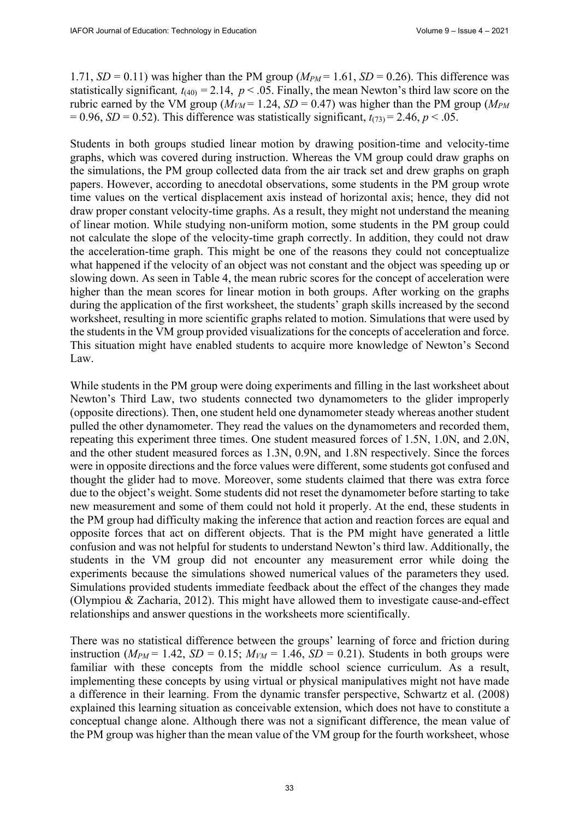1.71,  $SD = 0.11$ ) was higher than the PM group ( $M_{PM} = 1.61$ ,  $SD = 0.26$ ). This difference was statistically significant,  $t_{(40)} = 2.14$ ,  $p < .05$ . Finally, the mean Newton's third law score on the rubric earned by the VM group ( $M_{VM}$  = 1.24, *SD* = 0.47) was higher than the PM group ( $M_{PM}$ )  $= 0.96$ , *SD* = 0.52). This difference was statistically significant,  $t_{(73)} = 2.46$ ,  $p < .05$ .

Students in both groups studied linear motion by drawing position-time and velocity-time graphs, which was covered during instruction. Whereas the VM group could draw graphs on the simulations, the PM group collected data from the air track set and drew graphs on graph papers. However, according to anecdotal observations, some students in the PM group wrote time values on the vertical displacement axis instead of horizontal axis; hence, they did not draw proper constant velocity-time graphs. As a result, they might not understand the meaning of linear motion. While studying non-uniform motion, some students in the PM group could not calculate the slope of the velocity-time graph correctly. In addition, they could not draw the acceleration-time graph. This might be one of the reasons they could not conceptualize what happened if the velocity of an object was not constant and the object was speeding up or slowing down. As seen in Table 4, the mean rubric scores for the concept of acceleration were higher than the mean scores for linear motion in both groups. After working on the graphs during the application of the first worksheet, the students' graph skills increased by the second worksheet, resulting in more scientific graphs related to motion. Simulations that were used by the students in the VM group provided visualizations for the concepts of acceleration and force. This situation might have enabled students to acquire more knowledge of Newton's Second Law.

While students in the PM group were doing experiments and filling in the last worksheet about Newton's Third Law, two students connected two dynamometers to the glider improperly (opposite directions). Then, one student held one dynamometer steady whereas another student pulled the other dynamometer. They read the values on the dynamometers and recorded them, repeating this experiment three times. One student measured forces of 1.5N, 1.0N, and 2.0N, and the other student measured forces as 1.3N, 0.9N, and 1.8N respectively. Since the forces were in opposite directions and the force values were different, some students got confused and thought the glider had to move. Moreover, some students claimed that there was extra force due to the object's weight. Some students did not reset the dynamometer before starting to take new measurement and some of them could not hold it properly. At the end, these students in the PM group had difficulty making the inference that action and reaction forces are equal and opposite forces that act on different objects. That is the PM might have generated a little confusion and was not helpful for students to understand Newton's third law. Additionally, the students in the VM group did not encounter any measurement error while doing the experiments because the simulations showed numerical values of the parameters they used. Simulations provided students immediate feedback about the effect of the changes they made (Olympiou & Zacharia, 2012). This might have allowed them to investigate cause-and-effect relationships and answer questions in the worksheets more scientifically.

There was no statistical difference between the groups' learning of force and friction during instruction ( $M_{PM}$  = 1.42,  $SD = 0.15$ ;  $M_{VM}$  = 1.46,  $SD = 0.21$ ). Students in both groups were familiar with these concepts from the middle school science curriculum. As a result, implementing these concepts by using virtual or physical manipulatives might not have made a difference in their learning. From the dynamic transfer perspective, Schwartz et al. (2008) explained this learning situation as conceivable extension, which does not have to constitute a conceptual change alone. Although there was not a significant difference, the mean value of the PM group was higher than the mean value of the VM group for the fourth worksheet, whose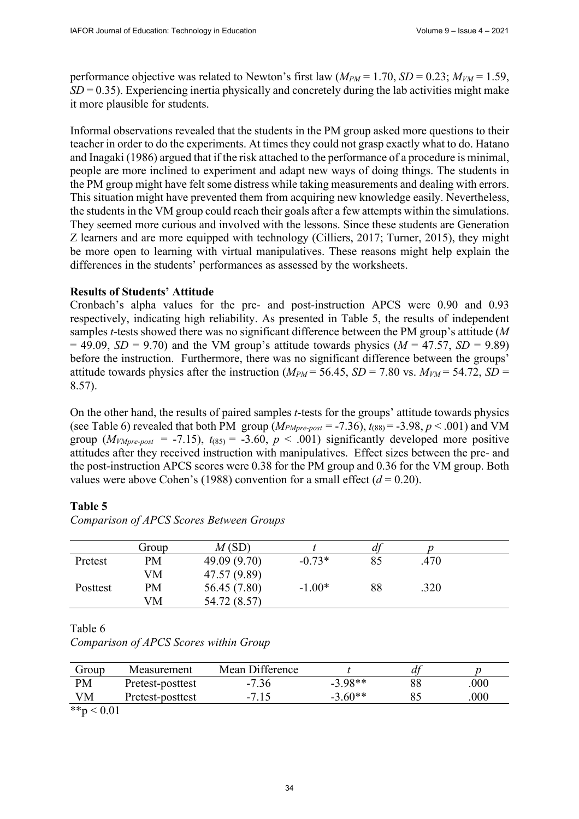performance objective was related to Newton's first law  $(M_{PM} = 1.70, SD = 0.23; M_{VM} = 1.59,$ *SD* = 0.35). Experiencing inertia physically and concretely during the lab activities might make it more plausible for students.

Informal observations revealed that the students in the PM group asked more questions to their teacher in order to do the experiments. At times they could not grasp exactly what to do. Hatano and Inagaki (1986) argued that if the risk attached to the performance of a procedure is minimal, people are more inclined to experiment and adapt new ways of doing things. The students in the PM group might have felt some distress while taking measurements and dealing with errors. This situation might have prevented them from acquiring new knowledge easily. Nevertheless, the students in the VM group could reach their goals after a few attempts within the simulations. They seemed more curious and involved with the lessons. Since these students are Generation Z learners and are more equipped with technology (Cilliers, 2017; Turner, 2015), they might be more open to learning with virtual manipulatives. These reasons might help explain the differences in the students' performances as assessed by the worksheets.

#### **Results of Students' Attitude**

Cronbach's alpha values for the pre- and post-instruction APCS were 0.90 and 0.93 respectively, indicating high reliability. As presented in Table 5, the results of independent samples *t*-tests showed there was no significant difference between the PM group's attitude (*M*   $= 49.09$ , *SD* = 9.70) and the VM group's attitude towards physics (*M* = 47.57, *SD* = 9.89) before the instruction. Furthermore, there was no significant difference between the groups' attitude towards physics after the instruction ( $M_{PM}$  = 56.45, *SD* = 7.80 vs.  $M_{VM}$  = 54.72, *SD* = 8.57).

On the other hand, the results of paired samples *t*-tests for the groups' attitude towards physics (see Table 6) revealed that both PM group  $(M_{PMpre-post} = -7.36)$ ,  $t_{(88)} = -3.98$ ,  $p < .001$ ) and VM group  $(M<sub>VMpre-post</sub> = -7.15)$ ,  $t<sub>(85)</sub> = -3.60$ ,  $p < .001$ ) significantly developed more positive attitudes after they received instruction with manipulatives. Effect sizes between the pre- and the post-instruction APCS scores were 0.38 for the PM group and 0.36 for the VM group. Both values were above Cohen's (1988) convention for a small effect  $(d = 0.20)$ .

# **Table 5**

|          | Group | M(SD)        |          | df |      |  |
|----------|-------|--------------|----------|----|------|--|
| Pretest  | PM    | 49.09 (9.70) | $-0.73*$ | 85 | .470 |  |
|          | VM    | 47.57 (9.89) |          |    |      |  |
| Posttest | PM    | 56.45 (7.80) | $-1.00*$ | 88 | .320 |  |
|          | VM    | 54.72 (8.57) |          |    |      |  |

*Comparison of APCS Scores Between Groups* 

Table 6

| Comparison of APCS Scores within Group |  |  |  |  |
|----------------------------------------|--|--|--|--|
|----------------------------------------|--|--|--|--|

| Group           | Measurement      | Mean Difference |           |     |
|-----------------|------------------|-----------------|-----------|-----|
| PM              | Pretest-posttest | $-7.36$         | $-3.98**$ | 000 |
| VM              | Pretest-posttest | $-7.15$         | $-3.60**$ | 000 |
| $**_{n}$ / 0.01 |                  |                 |           |     |

 $5p < 0.01$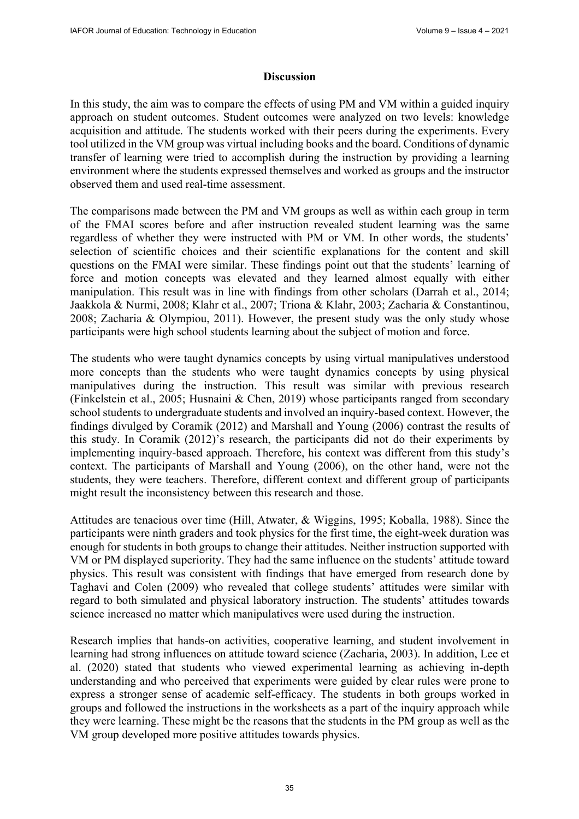#### **Discussion**

In this study, the aim was to compare the effects of using PM and VM within a guided inquiry approach on student outcomes. Student outcomes were analyzed on two levels: knowledge acquisition and attitude. The students worked with their peers during the experiments. Every tool utilized in the VM group was virtual including books and the board. Conditions of dynamic transfer of learning were tried to accomplish during the instruction by providing a learning environment where the students expressed themselves and worked as groups and the instructor observed them and used real-time assessment.

The comparisons made between the PM and VM groups as well as within each group in term of the FMAI scores before and after instruction revealed student learning was the same regardless of whether they were instructed with PM or VM. In other words, the students' selection of scientific choices and their scientific explanations for the content and skill questions on the FMAI were similar. These findings point out that the students' learning of force and motion concepts was elevated and they learned almost equally with either manipulation. This result was in line with findings from other scholars (Darrah et al., 2014; Jaakkola & Nurmi, 2008; Klahr et al., 2007; Triona & Klahr, 2003; Zacharia & Constantinou, 2008; Zacharia & Olympiou, 2011). However, the present study was the only study whose participants were high school students learning about the subject of motion and force.

The students who were taught dynamics concepts by using virtual manipulatives understood more concepts than the students who were taught dynamics concepts by using physical manipulatives during the instruction. This result was similar with previous research (Finkelstein et al., 2005; Husnaini & Chen, 2019) whose participants ranged from secondary school students to undergraduate students and involved an inquiry-based context. However, the findings divulged by Coramik (2012) and Marshall and Young (2006) contrast the results of this study. In Coramik (2012)'s research, the participants did not do their experiments by implementing inquiry-based approach. Therefore, his context was different from this study's context. The participants of Marshall and Young (2006), on the other hand, were not the students, they were teachers. Therefore, different context and different group of participants might result the inconsistency between this research and those.

Attitudes are tenacious over time (Hill, Atwater, & Wiggins, 1995; Koballa, 1988). Since the participants were ninth graders and took physics for the first time, the eight-week duration was enough for students in both groups to change their attitudes. Neither instruction supported with VM or PM displayed superiority. They had the same influence on the students' attitude toward physics. This result was consistent with findings that have emerged from research done by Taghavi and Colen (2009) who revealed that college students' attitudes were similar with regard to both simulated and physical laboratory instruction. The students' attitudes towards science increased no matter which manipulatives were used during the instruction.

Research implies that hands-on activities, cooperative learning, and student involvement in learning had strong influences on attitude toward science (Zacharia, 2003). In addition, Lee et al. (2020) stated that students who viewed experimental learning as achieving in-depth understanding and who perceived that experiments were guided by clear rules were prone to express a stronger sense of academic self-efficacy. The students in both groups worked in groups and followed the instructions in the worksheets as a part of the inquiry approach while they were learning. These might be the reasons that the students in the PM group as well as the VM group developed more positive attitudes towards physics.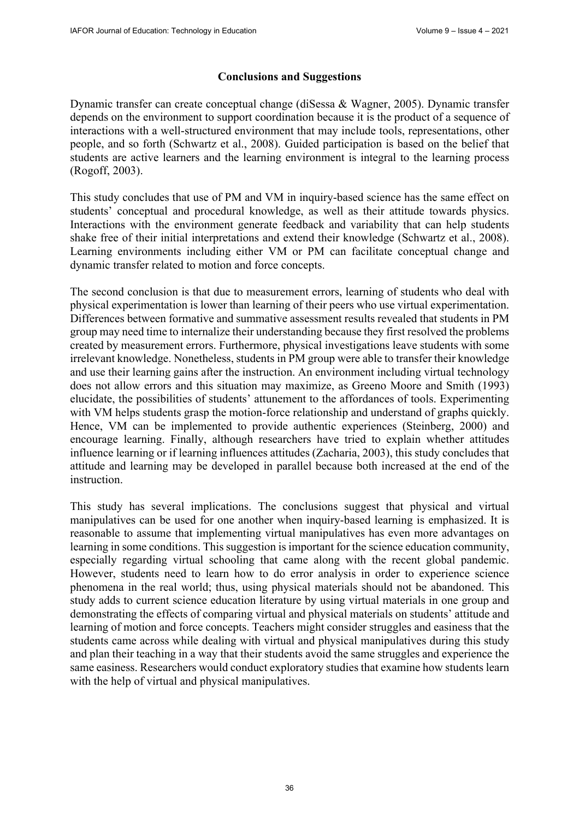# **Conclusions and Suggestions**

Dynamic transfer can create conceptual change (diSessa & Wagner, 2005). Dynamic transfer depends on the environment to support coordination because it is the product of a sequence of interactions with a well-structured environment that may include tools, representations, other people, and so forth (Schwartz et al., 2008). Guided participation is based on the belief that students are active learners and the learning environment is integral to the learning process (Rogoff, 2003).

This study concludes that use of PM and VM in inquiry-based science has the same effect on students' conceptual and procedural knowledge, as well as their attitude towards physics. Interactions with the environment generate feedback and variability that can help students shake free of their initial interpretations and extend their knowledge (Schwartz et al., 2008). Learning environments including either VM or PM can facilitate conceptual change and dynamic transfer related to motion and force concepts.

The second conclusion is that due to measurement errors, learning of students who deal with physical experimentation is lower than learning of their peers who use virtual experimentation. Differences between formative and summative assessment results revealed that students in PM group may need time to internalize their understanding because they first resolved the problems created by measurement errors. Furthermore, physical investigations leave students with some irrelevant knowledge. Nonetheless, students in PM group were able to transfer their knowledge and use their learning gains after the instruction. An environment including virtual technology does not allow errors and this situation may maximize, as Greeno Moore and Smith (1993) elucidate, the possibilities of students' attunement to the affordances of tools. Experimenting with VM helps students grasp the motion-force relationship and understand of graphs quickly. Hence, VM can be implemented to provide authentic experiences (Steinberg, 2000) and encourage learning. Finally, although researchers have tried to explain whether attitudes influence learning or if learning influences attitudes (Zacharia, 2003), this study concludes that attitude and learning may be developed in parallel because both increased at the end of the instruction.

This study has several implications. The conclusions suggest that physical and virtual manipulatives can be used for one another when inquiry-based learning is emphasized. It is reasonable to assume that implementing virtual manipulatives has even more advantages on learning in some conditions. This suggestion is important for the science education community, especially regarding virtual schooling that came along with the recent global pandemic. However, students need to learn how to do error analysis in order to experience science phenomena in the real world; thus, using physical materials should not be abandoned. This study adds to current science education literature by using virtual materials in one group and demonstrating the effects of comparing virtual and physical materials on students' attitude and learning of motion and force concepts. Teachers might consider struggles and easiness that the students came across while dealing with virtual and physical manipulatives during this study and plan their teaching in a way that their students avoid the same struggles and experience the same easiness. Researchers would conduct exploratory studies that examine how students learn with the help of virtual and physical manipulatives.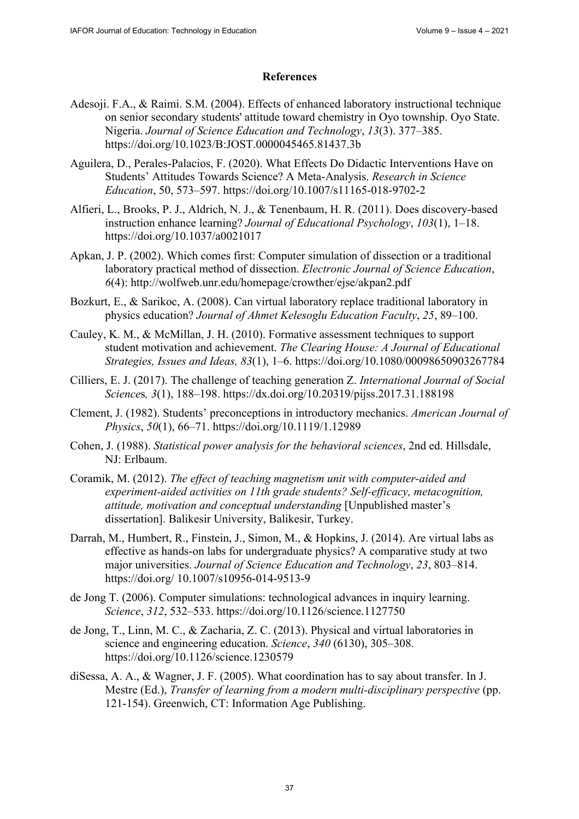# **References**

- Adesoji. F.A., & Raimi. S.M. (2004). Effects of enhanced laboratory instructional technique on senior secondary students' attitude toward chemistry in Oyo township. Oyo State. Nigeria. *Journal of Science Education and Technology*, *13*(3). 377–385. <https://doi.org/10.1023/B:JOST.0000045465.81437.3b>
- Aguilera, D., Perales-Palacios, F. (2020). What Effects Do Didactic Interventions Have on Students' Attitudes Towards Science? A Meta-Analysis. *Research in Science Education*, 50, 573–597.<https://doi.org/10.1007/s11165-018-9702-2>
- Alfieri, L., Brooks, P. J., Aldrich, N. J., & Tenenbaum, H. R. (2011). Does discovery-based instruction enhance learning? *Journal of Educational Psychology*, *103*(1), 1–18. <https://doi.org/10.1037/a0021017>
- Apkan, J. P. (2002). Which comes first: Computer simulation of dissection or a traditional laboratory practical method of dissection. *Electronic Journal of Science Education*, *6*(4):<http://wolfweb.unr.edu/homepage/crowther/ejse/akpan2.pdf>
- Bozkurt, E., & Sarikoc, A. (2008). Can virtual laboratory replace traditional laboratory in physics education? *Journal of Ahmet Kelesoglu Education Faculty*, *25*, 89–100.
- Cauley, K. M., & McMillan, J. H. (2010). Formative assessment techniques to support student motivation and achievement. *The Clearing House: A Journal of Educational Strategies, Issues and Ideas, 83*(1), 1–6.<https://doi.org/10.1080/00098650903267784>
- Cilliers, E. J. (2017). The challenge of teaching generation Z. *International Journal of Social Science*s*, 3*(1), 188–198.<https://dx.doi.org/10.20319/pijss.2017.31.188198>
- Clement, J. (1982). Students' preconceptions in introductory mechanics. *American Journal of Physics*, *50*(1), 66–71. <https://doi.org/10.1119/1.12989>
- Cohen, J. (1988). *Statistical power analysis for the behavioral sciences*, 2nd ed. Hillsdale, NJ: Erlbaum.
- Coramik, M. (2012). *The effect of teaching magnetism unit with computer-aided and experiment-aided activities on 11th grade students? Self-efficacy, metacognition, attitude, motivation and conceptual understanding* [Unpublished master's dissertation]. Balikesir University, Balikesir, Turkey.
- Darrah, M., Humbert, R., Finstein, J., Simon, M., & Hopkins, J. (2014). Are virtual labs as effective as hands-on labs for undergraduate physics? A comparative study at two major universities. *Journal of Science Education and Technology*, *23*, 803–814. [https://doi.org/ 10](https://doi.org/).1007/s10956-014-9513-9
- de Jong T. (2006). Computer simulations: technological advances in inquiry learning. *Science*, *312*, 532–533. <https://doi.org/10.1126/science.1127750>
- de Jong, T., Linn, M. C., & Zacharia, Z. C. (2013). Physical and virtual laboratories in science and engineering education. *Science*, *340* (6130), 305–308. <https://doi.org/10.1126/science.1230579>
- diSessa, A. A., & Wagner, J. F. (2005). What coordination has to say about transfer. In J. Mestre (Ed.), *Transfer of learning from a modern multi-disciplinary perspective* (pp. 121-154). Greenwich, CT: Information Age Publishing.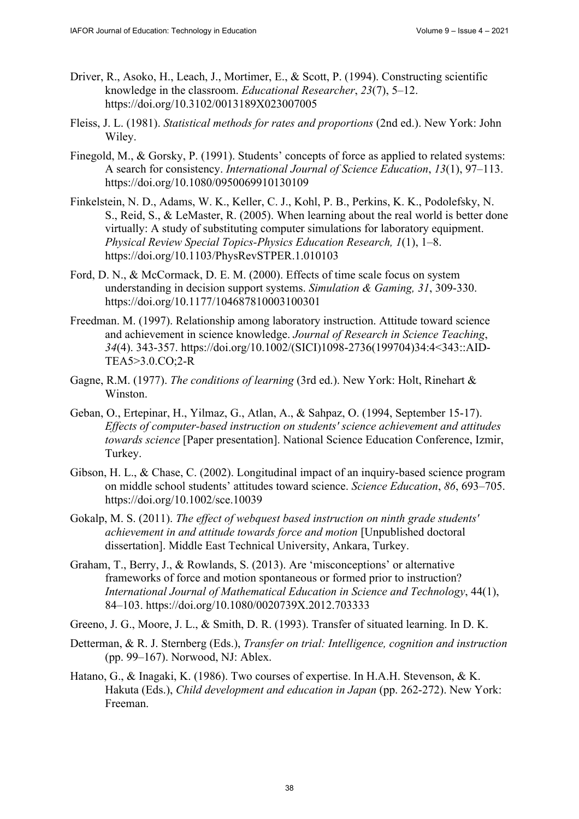- Driver, R., Asoko, H., Leach, J., Mortimer, E., & Scott, P. (1994). Constructing scientific knowledge in the classroom. *Educational Researcher*, *23*(7), 5–12. <https://doi.org/10.3102/0013189X023007005>
- Fleiss, J. L. (1981). *Statistical methods for rates and proportions* (2nd ed.). New York: John Wiley.
- Finegold, M., & Gorsky, P. (1991). Students' concepts of force as applied to related systems: A search for consistency. *International Journal of Science Education*, *13*(1), 97–113. <https://doi.org/10.1080/0950069910130109>
- Finkelstein, N. D., Adams, W. K., Keller, C. J., Kohl, P. B., Perkins, K. K., Podolefsky, N. S., Reid, S., & LeMaster, R. (2005). When learning about the real world is better done virtually: A study of substituting computer simulations for laboratory equipment. *Physical Review Special Topics-Physics Education Research, 1*(1), 1–8. <https://doi.org/10.1103/PhysRevSTPER.1.010103>
- Ford, D. N., & McCormack, D. E. M. (2000). Effects of time scale focus on system understanding in decision support systems. *Simulation & Gaming, 31*, 309-330. <https://doi.org/10.1177/104687810003100301>
- Freedman. M. (1997). Relationship among laboratory instruction. Attitude toward science and achievement in science knowledge. *Journal of Research in Science Teaching*, *34*(4). 343-357. [https://doi.org/10.1002/\(SIC](https://doi.org/10.1002/)I)1098-2736(199704)34:4<343::AID-TEA5>3.0.CO;2-R
- Gagne, R.M. (1977). *The conditions of learning* (3rd ed.). New York: Holt, Rinehart & Winston.
- Geban, O., Ertepinar, H., Yilmaz, G., Atlan, A., & Sahpaz, O. (1994, September 15-17). *Effects of computer-based instruction on students' science achievement and attitudes towards science* [Paper presentation]. National Science Education Conference, Izmir, Turkey.
- Gibson, H. L., & Chase, C. (2002). Longitudinal impact of an inquiry-based science program on middle school students' attitudes toward science. *Science Education*, *86*, 693–705. <https://doi.org/10.1002/sce.10039>
- Gokalp, M. S. (2011). *The effect of webquest based instruction on ninth grade students' achievement in and attitude towards force and motion* [Unpublished doctoral dissertation]. Middle East Technical University, Ankara, Turkey.
- Graham, T., Berry, J., & Rowlands, S. (2013). Are 'misconceptions' or alternative frameworks of force and motion spontaneous or formed prior to instruction? *International Journal of Mathematical Education in Science and Technology*, 44(1), 84–103. <https://doi.org/10.1080/0020739X.2012.703333>
- Greeno, J. G., Moore, J. L., & Smith, D. R. (1993). Transfer of situated learning. In D. K.
- Detterman, & R. J. Sternberg (Eds.), *Transfer on trial: Intelligence, cognition and instruction* (pp. 99–167). Norwood, NJ: Ablex.
- Hatano, G., & Inagaki, K. (1986). Two courses of expertise. In H.A.H. Stevenson, & K. Hakuta (Eds.), *Child development and education in Japan* (pp. 262-272). New York: Freeman.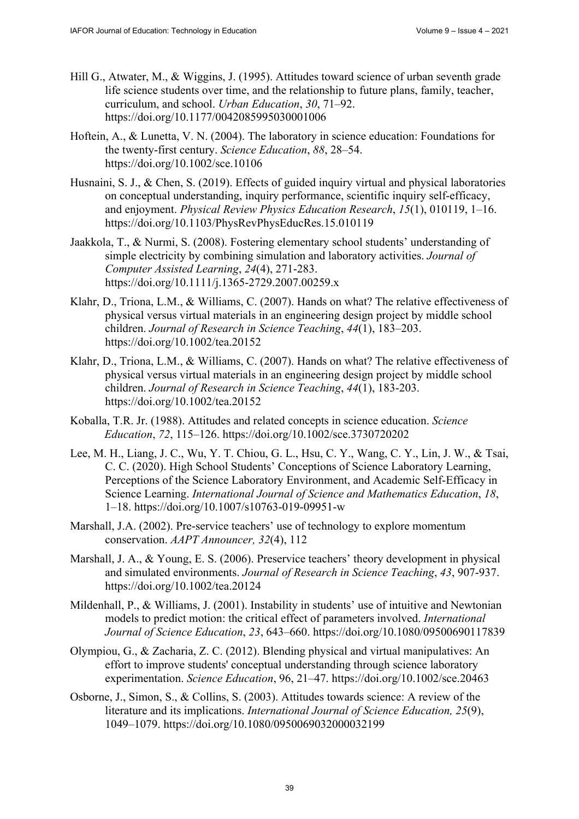- Hill G., Atwater, M., & Wiggins, J. (1995). Attitudes toward science of urban seventh grade life science students over time, and the relationship to future plans, family, teacher, curriculum, and school. *Urban Education*, *30*, 71–92. <https://doi.org/10.1177/0042085995030001006>
- Hoftein, A., & Lunetta, V. N. (2004). The laboratory in science education: Foundations for the twenty-first century. *Science Education*, *88*, 28–54. <https://doi.org/10.1002/sce.10106>
- Husnaini, S. J., & Chen, S. (2019). Effects of guided inquiry virtual and physical laboratories on conceptual understanding, inquiry performance, scientific inquiry self-efficacy, and enjoyment. *Physical Review Physics Education Research*, *15*(1), 010119, 1–16. <https://doi.org/10.1103/PhysRevPhysEducRes.15.010119>
- Jaakkola, T., & Nurmi, S. (2008). Fostering elementary school students' understanding of simple electricity by combining simulation and laboratory activities. *Journal of Computer Assisted Learning*, *24*(4), 271-283. <https://doi.org/10.1111/j.1365-2729.2007.00259.x>
- Klahr, D., Triona, L.M., & Williams, C. (2007). Hands on what? The relative effectiveness of physical versus virtual materials in an engineering design project by middle school children. *Journal of Research in Science Teaching*, *44*(1), 183–203. <https://doi.org/10.1002/tea.20152>
- Klahr, D., Triona, L.M., & Williams, C. (2007). Hands on what? The relative effectiveness of physical versus virtual materials in an engineering design project by middle school children. *Journal of Research in Science Teaching*, *44*(1), 183-203. <https://doi.org/10.1002/tea.20152>
- Koballa, T.R. Jr. (1988). Attitudes and related concepts in science education. *Science Education*, *72*, 115–126. <https://doi.org/10.1002/sce.3730720202>
- Lee, M. H., Liang, J. C., Wu, Y. T. Chiou, G. L., Hsu, C. Y., Wang, C. Y., Lin, J. W., & Tsai, C. C. (2020). High School Students' Conceptions of Science Laboratory Learning, Perceptions of the Science Laboratory Environment, and Academic Self-Efficacy in Science Learning. *International Journal of Science and Mathematics Education*, *18*, 1–18. <https://doi.org/10.1007/s10763-019-09951-w>
- Marshall, J.A. (2002). Pre-service teachers' use of technology to explore momentum conservation. *AAPT Announcer, 32*(4), 112
- Marshall, J. A., & Young, E. S. (2006). Preservice teachers' theory development in physical and simulated environments. *Journal of Research in Science Teaching*, *43*, 907-937. <https://doi.org/10.1002/tea.20124>
- Mildenhall, P., & Williams, J. (2001). Instability in students' use of intuitive and Newtonian models to predict motion: the critical effect of parameters involved. *International Journal of Science Education*, *23*, 643–660. <https://doi.org/10.1080/09500690117839>
- Olympiou, G., & Zacharia, Z. C. (2012). Blending physical and virtual manipulatives: An effort to improve students' conceptual understanding through science laboratory experimentation. *Science Education*, 96, 21–47. <https://doi.org/10.1002/sce.20463>
- Osborne, J., Simon, S., & Collins, S. (2003). Attitudes towards science: A review of the literature and its implications. *International Journal of Science Education, 25*(9), 1049–1079. <https://doi.org/10.1080/0950069032000032199>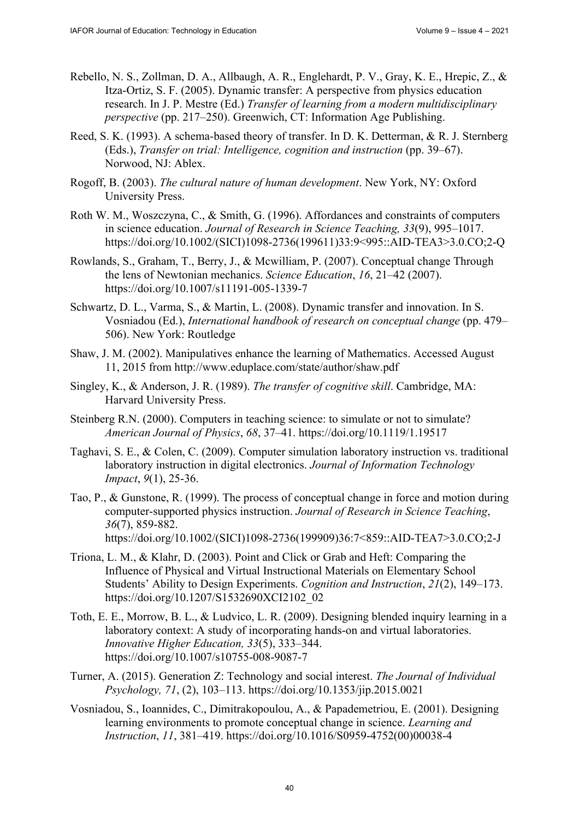- Rebello, N. S., Zollman, D. A., Allbaugh, A. R., Englehardt, P. V., Gray, K. E., Hrepic, Z., & Itza-Ortiz, S. F. (2005). Dynamic transfer: A perspective from physics education research. In J. P. Mestre (Ed.) *Transfer of learning from a modern multidisciplinary perspective* (pp. 217–250). Greenwich, CT: Information Age Publishing.
- Reed, S. K. (1993). A schema-based theory of transfer. In D. K. Detterman, & R. J. Sternberg (Eds.), *Transfer on trial: Intelligence, cognition and instruction* (pp. 39–67). Norwood, NJ: Ablex.
- Rogoff, B. (2003). *The cultural nature of human development*. New York, NY: Oxford University Press.
- Roth W. M., Woszczyna, C., & Smith, G. (1996). Affordances and constraints of computers in science education. *Journal of Research in Science Teaching, 33*(9), 995–1017. [https://doi.org/10.1002/\(SIC](https://doi.org/10.1002/)I)1098-2736(199611)33:9<995::AID-TEA3>3.0.CO;2-Q
- Rowlands, S., Graham, T., Berry, J., & Mcwilliam, P. (2007). Conceptual change Through the lens of Newtonian mechanics. *Science Education*, *16*, 21–42 (2007). <https://doi.org/10.1007/s11191-005-1339-7>
- Schwartz, D. L., Varma, S., & Martin, L. (2008). Dynamic transfer and innovation. In S. Vosniadou (Ed.), *International handbook of research on conceptual change* (pp. 479– 506). New York: Routledge
- Shaw, J. M. (2002). Manipulatives enhance the learning of Mathematics. Accessed August 11, 2015 from<http://www.eduplace.com/state/author/shaw.pdf>
- Singley, K., & Anderson, J. R. (1989). *The transfer of cognitive skill*. Cambridge, MA: Harvard University Press.
- Steinberg R.N. (2000). Computers in teaching science: to simulate or not to simulate? *American Journal of Physics*, *68*, 37–41. <https://doi.org/10.1119/1.19517>
- Taghavi, S. E., & Colen, C. (2009). Computer simulation laboratory instruction vs. traditional laboratory instruction in digital electronics. *Journal of Information Technology Impact*, *9*(1), 25-36.
- Tao, P., & Gunstone, R. (1999). The process of conceptual change in force and motion during computer-supported physics instruction. *Journal of Research in Science Teaching*, *36*(7), 859-882. [https://doi.org/10.1002/\(SIC](https://doi.org/10.1002/)I)1098-2736(199909)36:7<859::AID-TEA7>3.0.CO;2-J
- Triona, L. M., & Klahr, D. (2003). Point and Click or Grab and Heft: Comparing the Influence of Physical and Virtual Instructional Materials on Elementary School Students' Ability to Design Experiments. *Cognition and Instruction*, *21*(2), 149–173. [https://doi.org/10.1207/S1532690XCI2102\\_02](https://doi.org/10.1207/S1532690XCI2102_02)
- Toth, E. E., Morrow, B. L., & Ludvico, L. R. (2009). Designing blended inquiry learning in a laboratory context: A study of incorporating hands-on and virtual laboratories. *Innovative Higher Education, 33*(5), 333–344. <https://doi.org/10.1007/s10755-008-9087-7>
- Turner, A. (2015). Generation Z: Technology and social interest. *The Journal of Individual Psychology, 71*, (2), 103–113.<https://doi.org/10.1353/jip.2015.0021>
- Vosniadou, S., Ioannides, C., Dimitrakopoulou, A., & Papademetriou, E. (2001). Designing learning environments to promote conceptual change in science. *Learning and Instruction*, *11*, 381–419. [https://doi.org/10.1016/S0959-4752\(00\)](https://doi.org/10.1016/S0959-4752)00038-4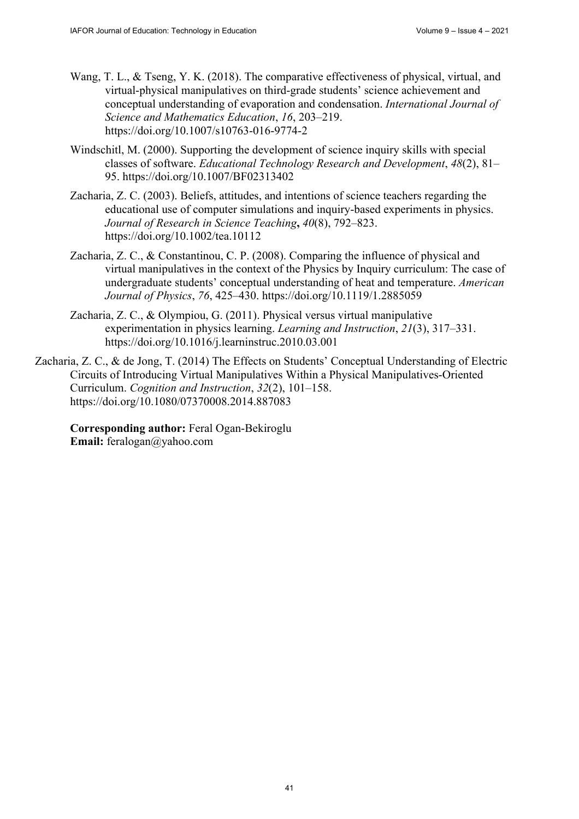- Wang, T. L., & Tseng, Y. K. (2018). The comparative effectiveness of physical, virtual, and virtual-physical manipulatives on third-grade students' science achievement and conceptual understanding of evaporation and condensation. *International Journal of Science and Mathematics Education*, *16*, 203–219. <https://doi.org/10.1007/s10763-016-9774-2>
- Windschitl, M. (2000). Supporting the development of science inquiry skills with special classes of software. *Educational Technology Research and Development*, *48*(2), 81– 95. <https://doi.org/10.1007/BF02313402>
- Zacharia, Z. C. (2003). Beliefs, attitudes, and intentions of science teachers regarding the educational use of computer simulations and inquiry-based experiments in physics. *Journal of Research in Science Teaching***,** *40*(8), 792–823. <https://doi.org/10.1002/tea.10112>
- Zacharia, Z. C., & Constantinou, C. P. (2008). Comparing the influence of physical and virtual manipulatives in the context of the Physics by Inquiry curriculum: The case of undergraduate students' conceptual understanding of heat and temperature. *American Journal of Physics*, *76*, 425–430.<https://doi.org/10.1119/1.2885059>
- Zacharia, Z. C., & Olympiou, G. (2011). Physical versus virtual manipulative experimentation in physics learning. *Learning and Instruction*, *21*(3), 317–331. <https://doi.org/10.1016/j.learninstruc.2010.03.001>
- Zacharia, Z. C., & de Jong, T. (2014) The Effects on Students' Conceptual Understanding of Electric Circuits of Introducing Virtual Manipulatives Within a Physical Manipulatives-Oriented Curriculum. *Cognition and Instruction*, *32*(2), 101–158. <https://doi.org/10.1080/07370008.2014.887083>

**Corresponding author:** Feral Ogan-Bekiroglu **Email:** [feralogan@yahoo.com](mailto:feralogan@yahoo.com)